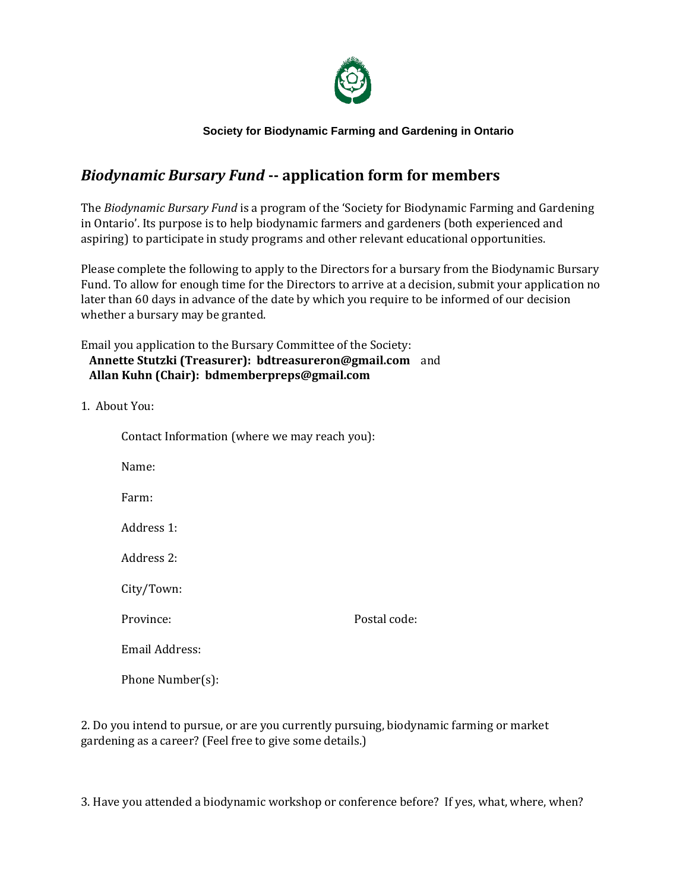

## **Society for Biodynamic Farming and Gardening in Ontario**

## *Biodynamic Bursary Fund* **-- application form for members**

The *Biodynamic Bursary Fund* is a program of the 'Society for Biodynamic Farming and Gardening in Ontario'. Its purpose is to help biodynamic farmers and gardeners (both experienced and aspiring) to participate in study programs and other relevant educational opportunities.

Please complete the following to apply to the Directors for a bursary from the Biodynamic Bursary Fund. To allow for enough time for the Directors to arrive at a decision, submit your application no later than 60 days in advance of the date by which you require to be informed of our decision whether a bursary may be granted.

Email you application to the Bursary Committee of the Society: **Annette Stutzki (Treasurer): bdtreasureron@gmail.com** and  **Allan Kuhn (Chair): bdmemberpreps@gmail.com**

1. About You:

| Contact Information (where we may reach you): |              |
|-----------------------------------------------|--------------|
| Name:                                         |              |
| Farm:                                         |              |
| Address 1:                                    |              |
| Address 2:                                    |              |
| City/Town:                                    |              |
| Province:                                     | Postal code: |
| Email Address:                                |              |
| Phone Number(s):                              |              |

2. Do you intend to pursue, or are you currently pursuing, biodynamic farming or market gardening as a career? (Feel free to give some details.)

3. Have you attended a biodynamic workshop or conference before? If yes, what, where, when?